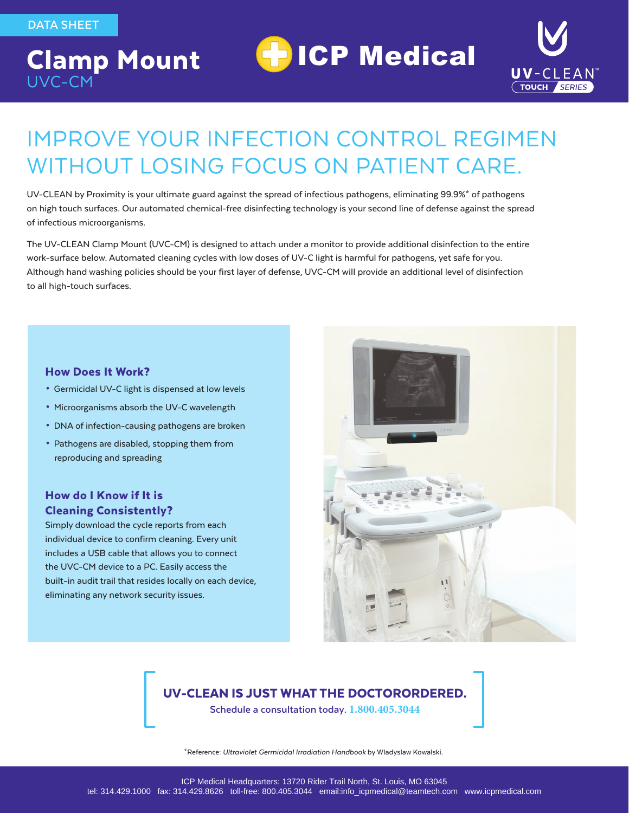## Clamp Mount UVC-CM



# IMPROVE YOUR INFECTION CONTROL REGIMEN WITHOUT LOSING FOCUS ON PATIENT CARE.

**H** ICP Medical

UV-CLEAN by Proximity is your ultimate guard against the spread of infectious pathogens, eliminating 99.9%\* of pathogens on high touch surfaces. Our automated chemical-free disinfecting technology is your second line of defense against the spread of infectious microorganisms.

The UV-CLEAN Clamp Mount (UVC-CM) is designed to attach under a monitor to provide additional disinfection to the entire work-surface below. Automated cleaning cycles with low doses of UV-C light is harmful for pathogens, yet safe for you. Although hand washing policies should be your first layer of defense, UVC-CM will provide an additional level of disinfection to all high-touch surfaces.

#### How Does It Work?

- Germicidal UV-C light is dispensed at low levels
- Microorganisms absorb the UV-C wavelength
- DNA of infection-causing pathogens are broken
- Pathogens are disabled, stopping them from reproducing and spreading

#### How do I Know if It is Cleaning Consistently?

Simply download the cycle reports from each individual device to confirm cleaning. Every unit includes a USB cable that allows you to connect the UVC-CM device to a PC. Easily access the built-in audit trail that resides locally on each device, eliminating any network security issues.



#### UV-CLEAN IS JUST WHAT THE DOCTORORDERED.

**Schedule a consultation today. 1.800.405.3044**

\*Reference: *Ultraviolet Germicidal Irradiation Handbook* by Wladyslaw Kowalski.